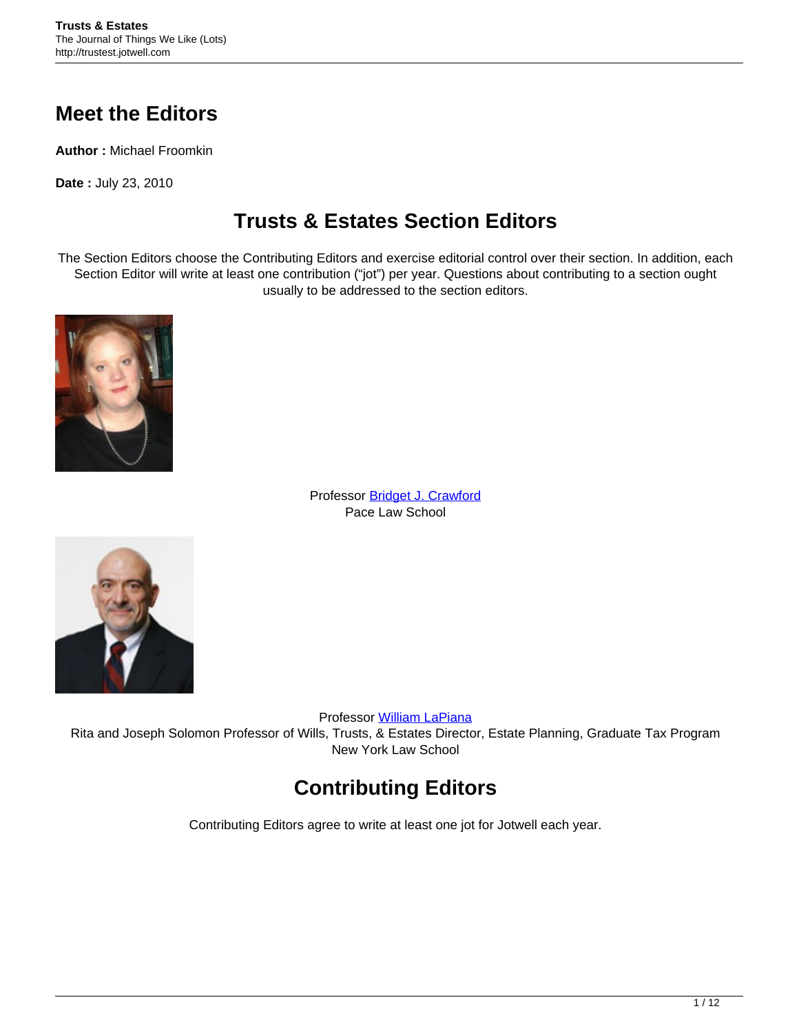#### **Meet the Editors**

**Author :** Michael Froomkin

**Date :** July 23, 2010

### **Trusts & Estates Section Editors**

The Section Editors choose the Contributing Editors and exercise editorial control over their section. In addition, each Section Editor will write at least one contribution ("jot") per year. Questions about contributing to a section ought usually to be addressed to the section editors.



Professor [Bridget J. Crawford](http://www.law.pace.edu/faculty/bridget-j-crawford) Pace Law School



Professor [William LaPiana](http://www.nyls.edu/faculty/faculty_profiles/william_p_lapiana) Rita and Joseph Solomon Professor of Wills, Trusts, & Estates Director, Estate Planning, Graduate Tax Program New York Law School

# **Contributing Editors**

Contributing Editors agree to write at least one jot for Jotwell each year.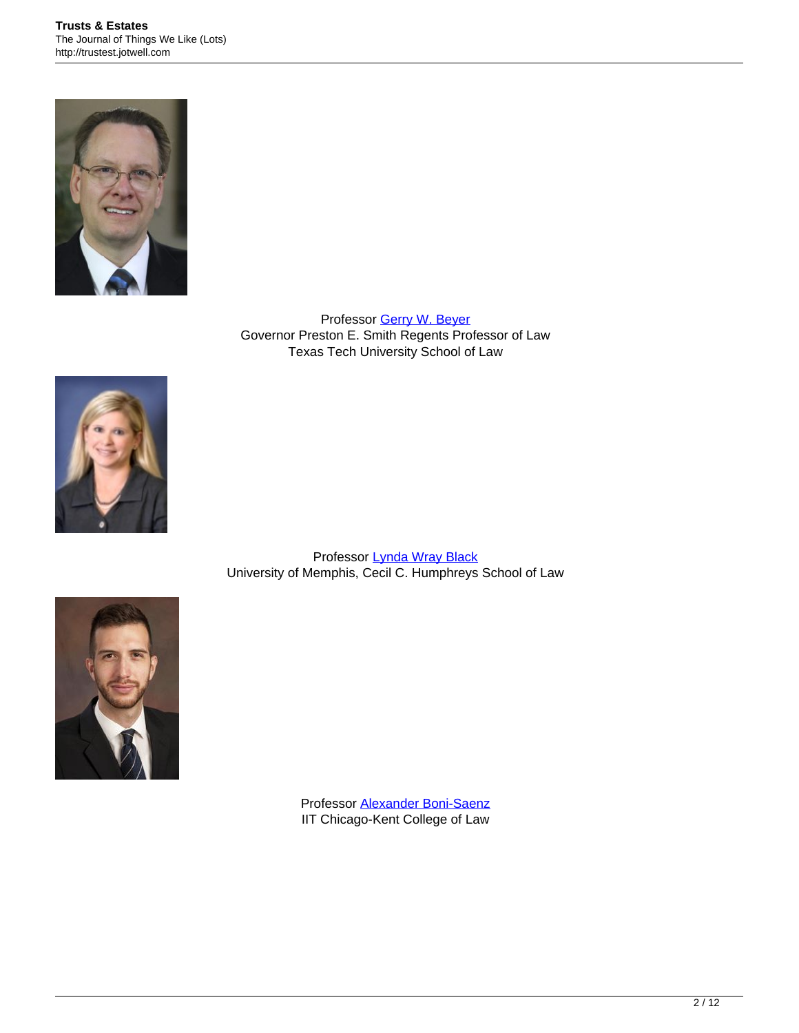

Professor [Gerry W. Beyer](http://www.law.ttu.edu/faculty/bios/Beyer/) Governor Preston E. Smith Regents Professor of Law Texas Tech University School of Law



Professor [Lynda Wray Black](http://www.memphis.edu/law/faculty-staff/lynda-black.php) University of Memphis, Cecil C. Humphreys School of Law



Professor [Alexander Boni-Saenz](http://www.kentlaw.iit.edu/faculty/full-time-faculty/alexander-boni-saenz) IIT Chicago-Kent College of Law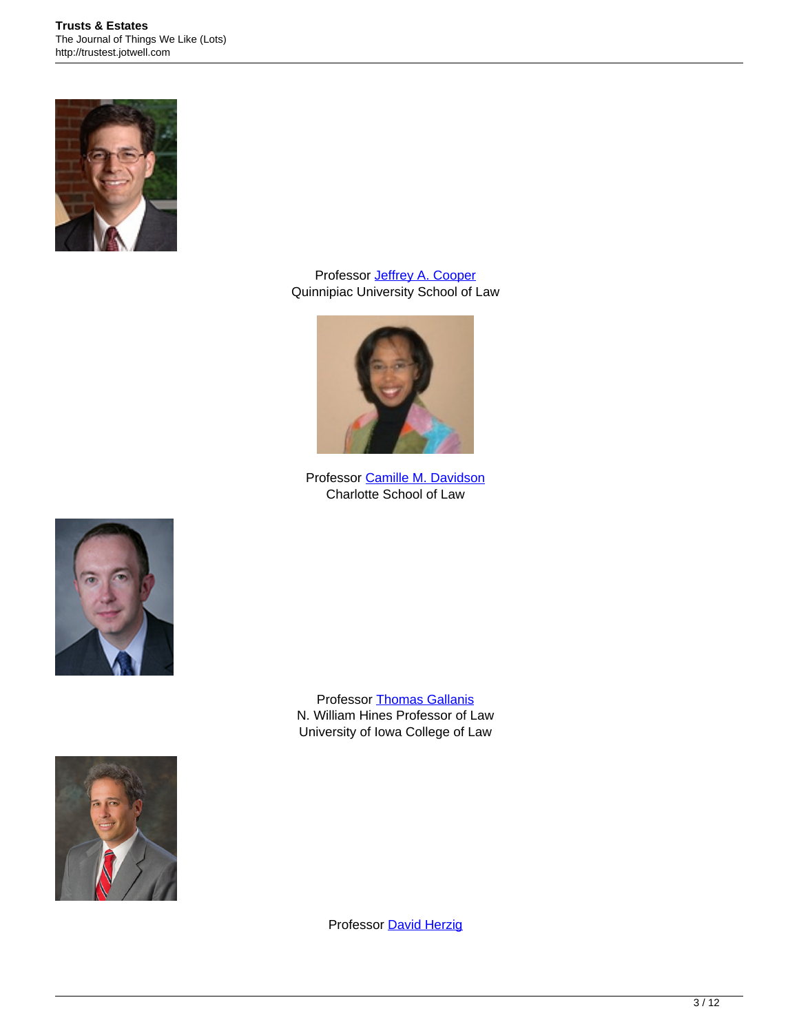

Professor **Jeffrey A. Cooper** Quinnipiac University School of Law



Professor [Camille M. Davidson](http://www.charlottelaw.edu/faculty-member.html?id=47) Charlotte School of Law



Professor [Thomas Gallanis](http://www.law.uiowa.edu/faculty/thomas-gallanis.php) N. William Hines Professor of Law University of Iowa College of Law



Professor [David Herzig](http://www.valpo.edu/law/about-us/full-time-faculty/david-herzig)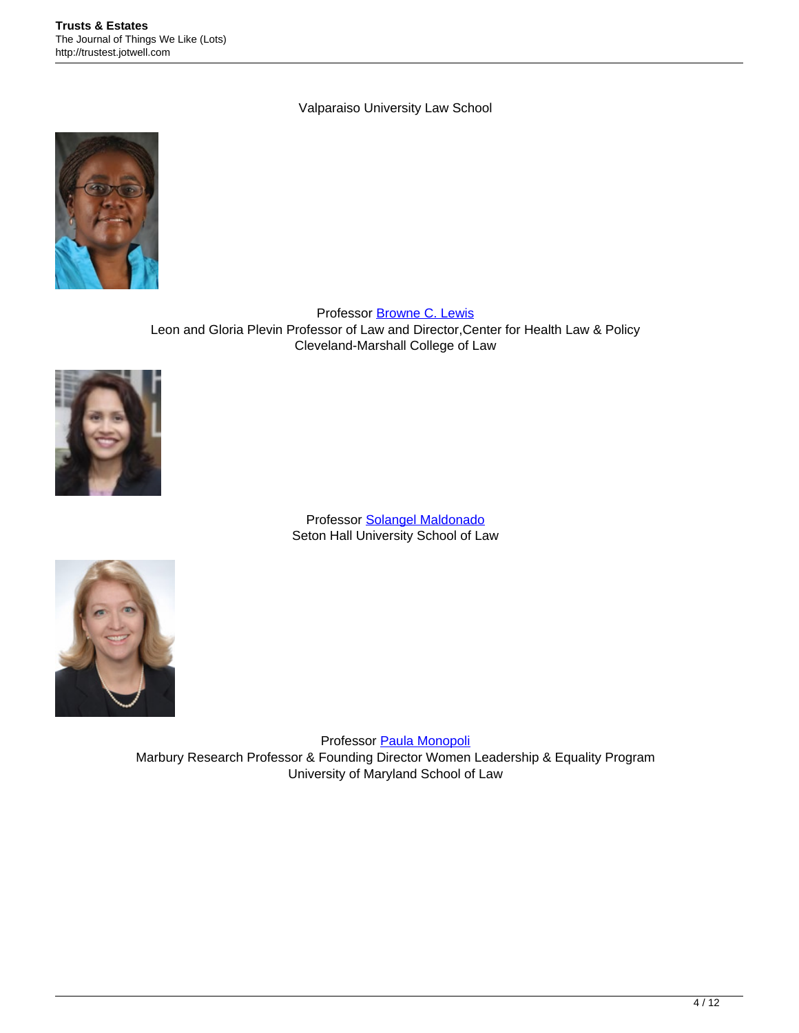Valparaiso University Law School



Professor [Browne C. Lewis](http://facultyprofile.csuohio.edu/csufacultyprofile/detail.cfm?FacultyID=B_C_LEWIS) Leon and Gloria Plevin Professor of Law and Director,Center for Health Law & Policy Cleveland-Marshall College of Law



Professor [Solangel Maldonado](http://law.shu.edu/Faculty/display-profile.cfm?customel_datapageid_4018=13318) Seton Hall University School of Law



Professor [Paula Monopoli](http://www.law.umaryland.edu/faculty/profiles/faculty.html?facultynum=083) Marbury Research Professor & Founding Director Women Leadership & Equality Program University of Maryland School of Law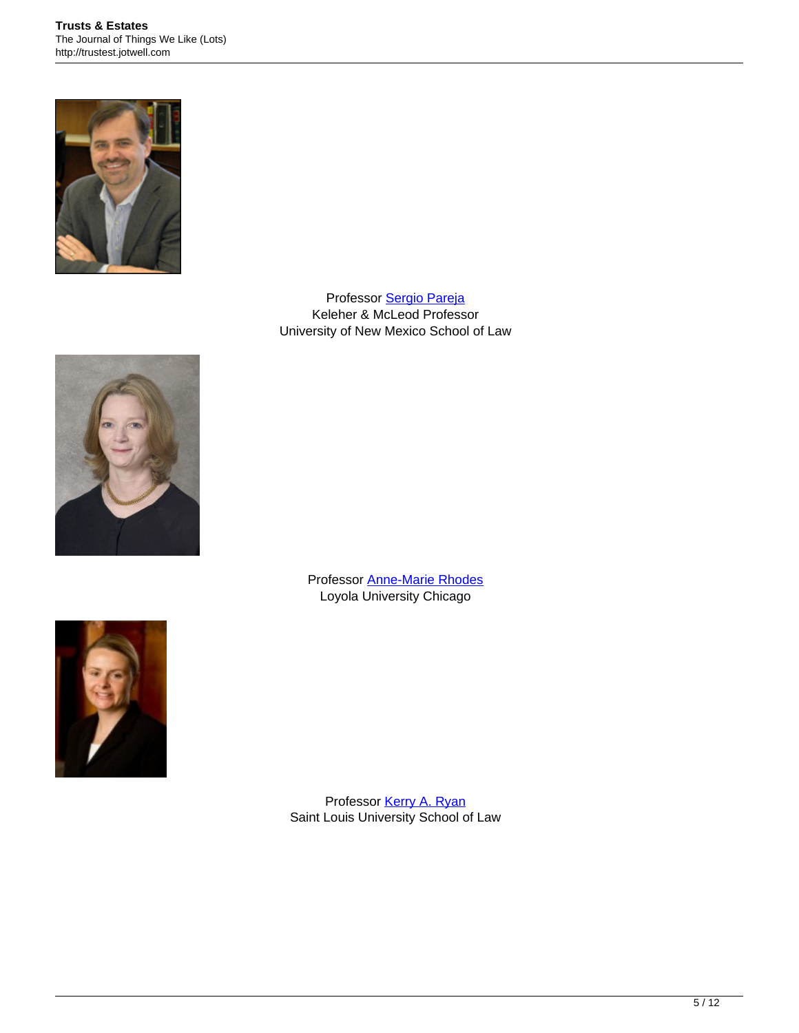

Professor [Sergio Pareja](http://lawschool.unm.edu/faculty/pareja/) Keleher & McLeod Professor University of New Mexico School of Law



Professor [Anne-Marie Rhodes](http://luc.edu/law/fulltime/rhodes.shtml) Loyola University Chicago



Professor [Kerry A. Ryan](http://law.slu.edu/people/kerry-ryan) Saint Louis University School of Law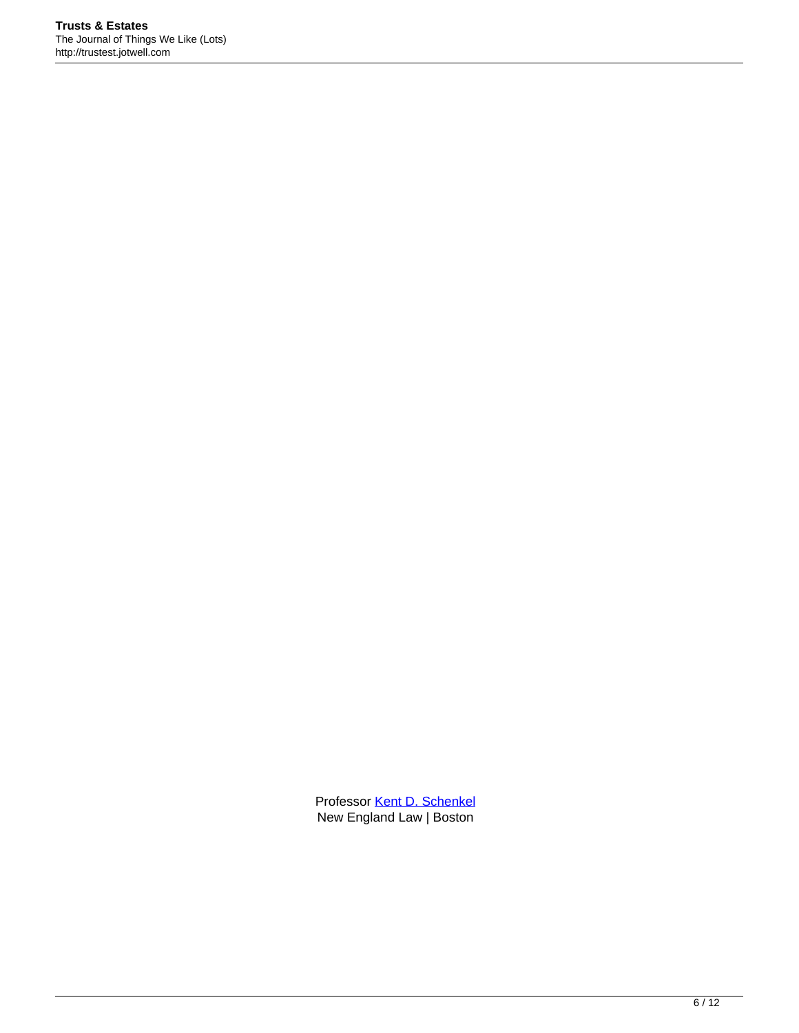Professor [Kent D. Schenkel](http://www.nesl.edu/faculty/full_time.cfm?facid=34) New England Law | Boston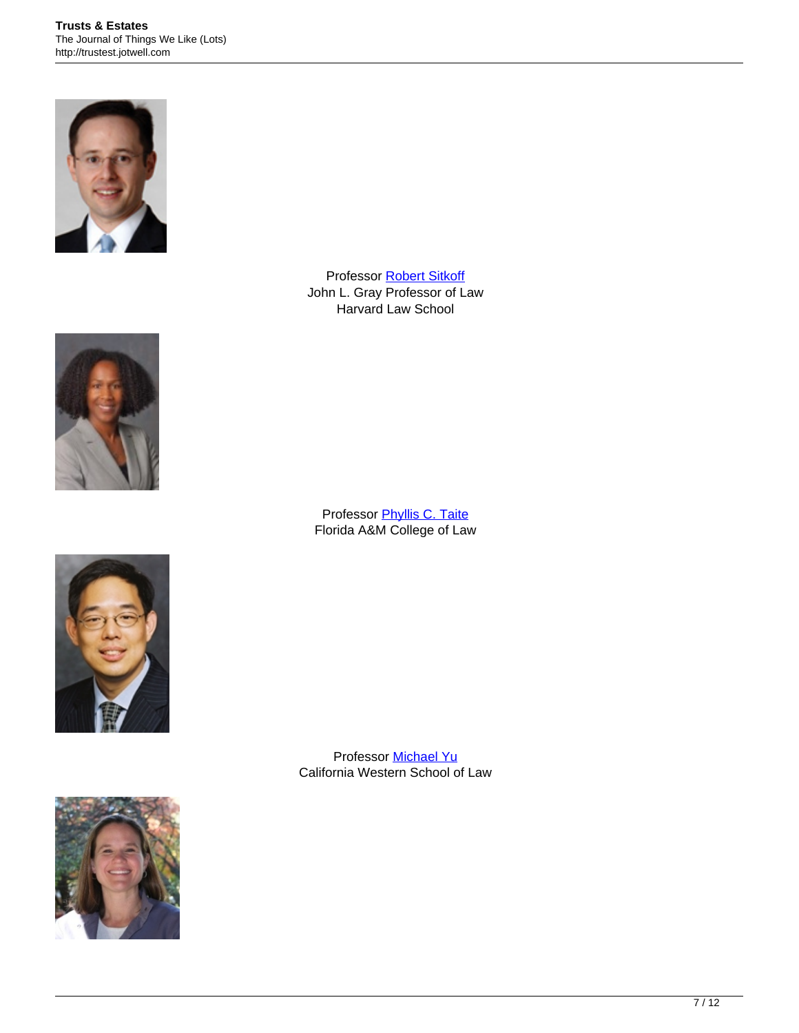



Professor **[Phyllis C. Taite](http://law.famu.edu/faculty/phyllis-c-taite/)** Florida A&M College of Law





Professor **[Robert Sitkoff](http://www.law.harvard.edu/faculty/directory/index.html?id=649)** John L. Gray Professor of Law Harvard Law School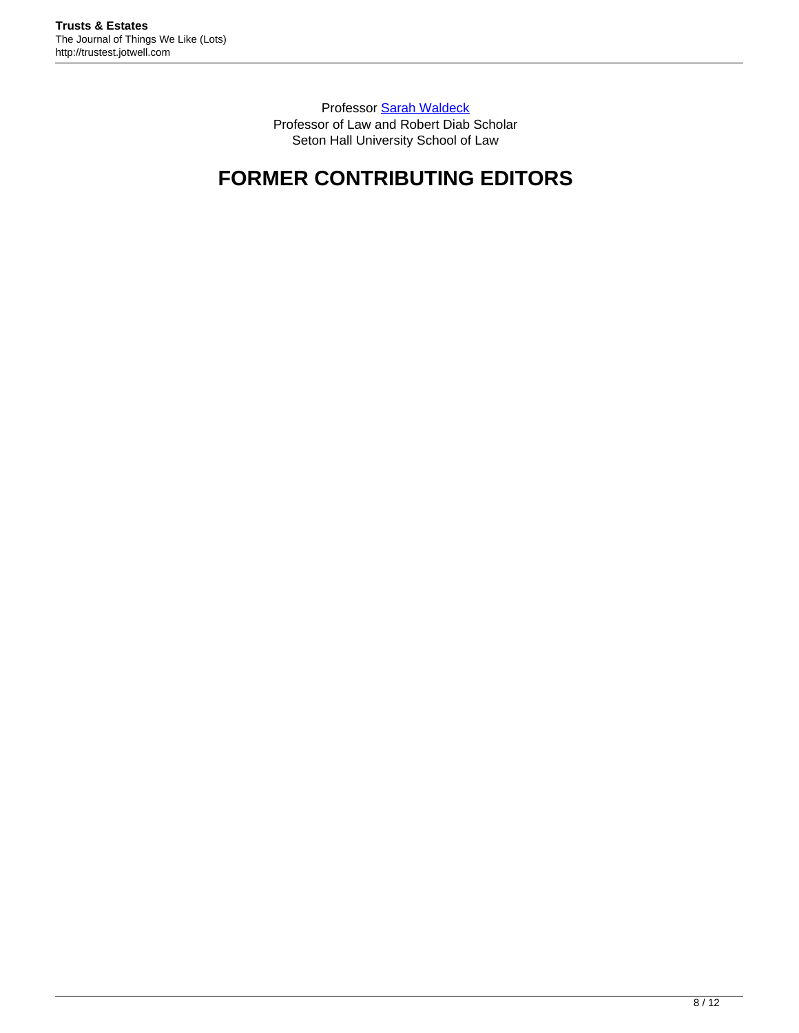Professor [Sarah Waldeck](http://law.shu.edu/Faculty/fulltime_faculty/Sarah-Waldeck.cfm) Professor of Law and Robert Diab Scholar Seton Hall University School of Law

# **FORMER CONTRIBUTING EDITORS**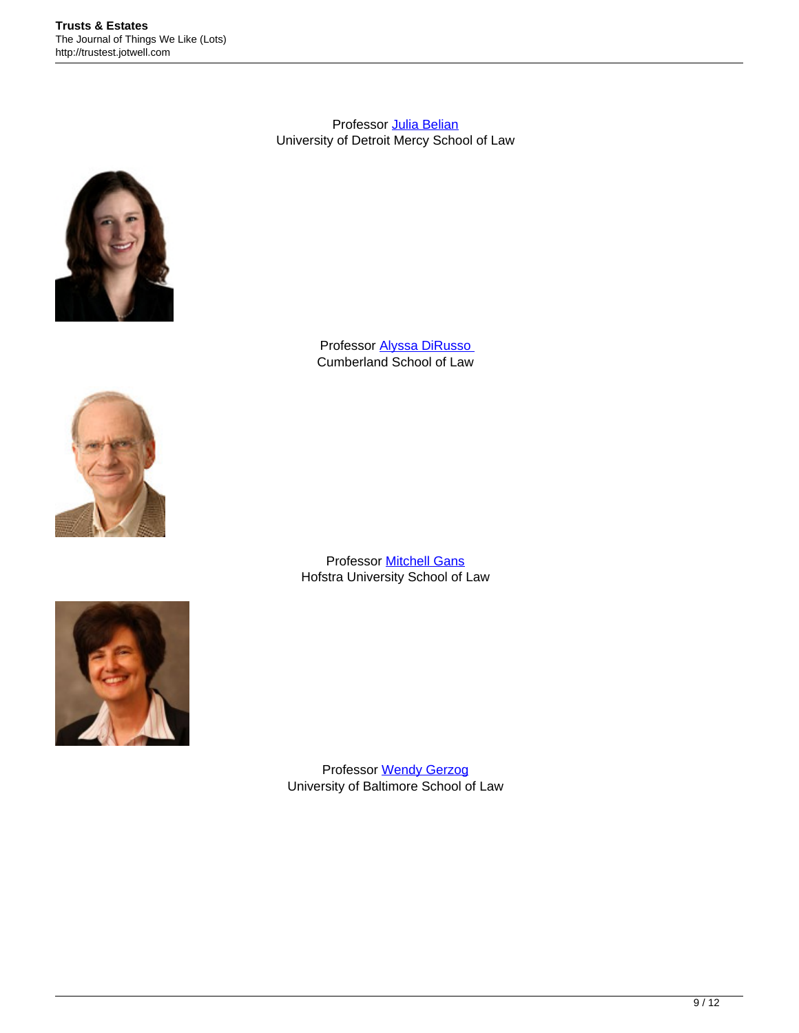Professor **Julia Belian** University of Detroit Mercy School of Law



Professor [Alyssa DiRusso](http://cumberland.samford.edu/faculty/alyssa-dirusso) Cumberland School of Law



Professor [Mitchell Gans](http://law.hofstra.edu/directory/faculty/FullTimeFaculty/ftfac_gans.html) Hofstra University School of Law



Professor [Wendy Gerzog](http://law.ubalt.edu/template.cfm?page=570) University of Baltimore School of Law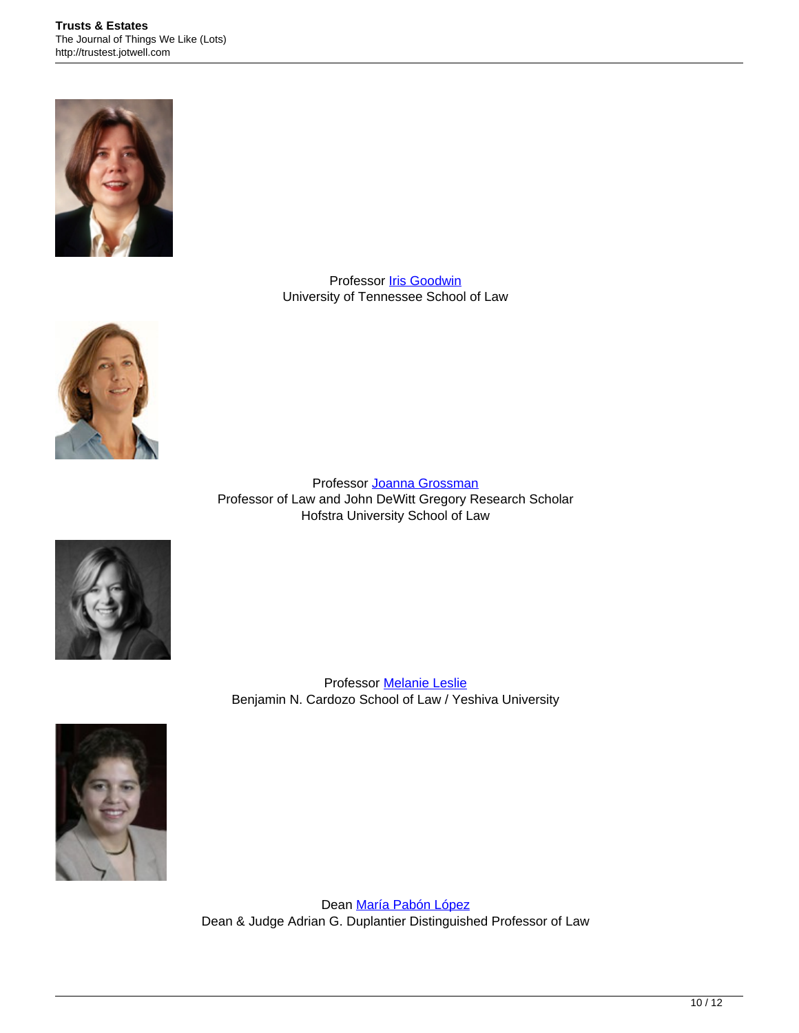

Professor **Iris Goodwin** University of Tennessee School of Law



Professor [Joanna Grossman](http://law.hofstra.edu/Directory/Faculty/FullTimeFaculty/ftfac_grossman.html) Professor of Law and John DeWitt Gregory Research Scholar Hofstra University School of Law



Professor [Melanie Leslie](http://bit.ly/5Cb2k6) Benjamin N. Cardozo School of Law / Yeshiva University



Dean [María Pabón López](http://law.loyno.edu/bio/maria-pab%C3%B3n-l%C3%B3pez) Dean & Judge Adrian G. Duplantier Distinguished Professor of Law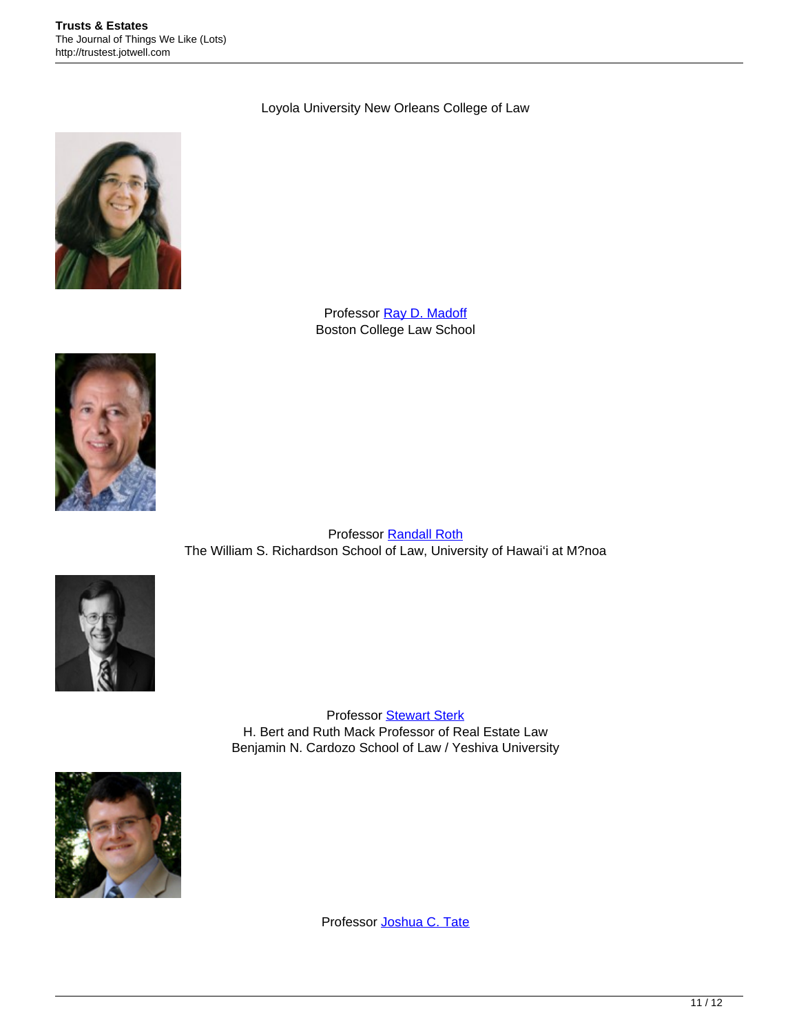#### Loyola University New Orleans College of Law



Professor [Ray D. Madoff](http://www.bc.edu/schools/law/fac-staff/deans-faculty/madoffr.html) Boston College Law School



Professor [Randall Roth](http://www.law.hawaii.edu/personnel/roth/randall) The William S. Richardson School of Law, University of Hawai'i at M?noa



Professor [Stewart Sterk](http://www.cardozo.yu.edu/directory/stewart-e-sterk) H. Bert and Ruth Mack Professor of Real Estate Law Benjamin N. Cardozo School of Law / Yeshiva University



Professor [Joshua C. Tate](http://www.law.smu.edu/Faculty/Tate)